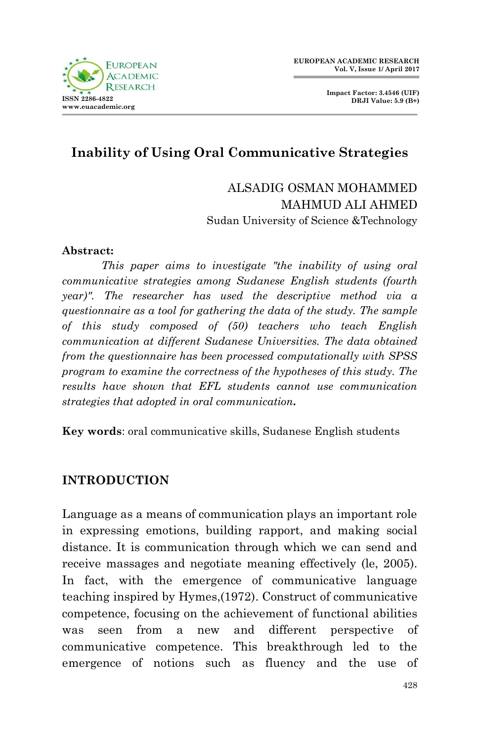

**Impact Factor: 3.4546 (UIF) DRJI Value: 5.9 (B+)**

# **Inability of Using Oral Communicative Strategies**

ALSADIG OSMAN MOHAMMED MAHMUD ALI AHMED Sudan University of Science &Technology

#### **Abstract:**

*This paper aims to investigate "the inability of using oral communicative strategies among Sudanese English students (fourth year)". The researcher has used the descriptive method via a questionnaire as a tool for gathering the data of the study. The sample of this study composed of (50) teachers who teach English communication at different Sudanese Universities. The data obtained from the questionnaire has been processed computationally with SPSS program to examine the correctness of the hypotheses of this study. The results have shown that EFL students cannot use communication strategies that adopted in oral communication.* 

**Key words**: oral communicative skills, Sudanese English students

#### **INTRODUCTION**

Language as a means of communication plays an important role in expressing emotions, building rapport, and making social distance. It is communication through which we can send and receive massages and negotiate meaning effectively (le, 2005). In fact, with the emergence of communicative language teaching inspired by Hymes,(1972). Construct of communicative competence, focusing on the achievement of functional abilities was seen from a new and different perspective of communicative competence. This breakthrough led to the emergence of notions such as fluency and the use of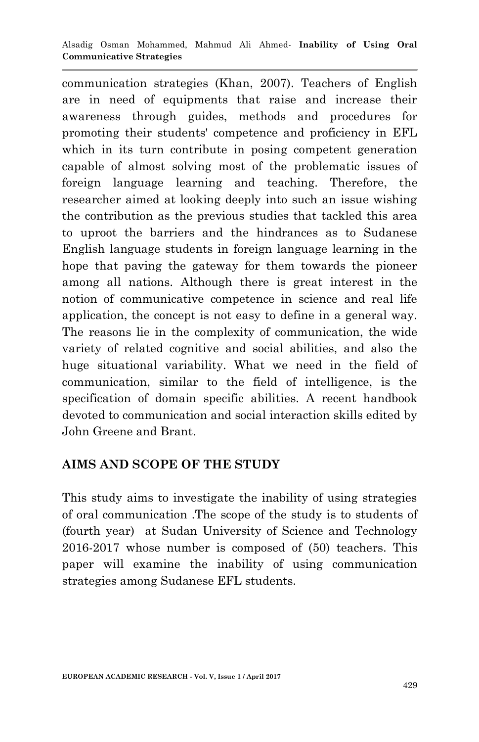communication strategies (Khan, 2007). Teachers of English are in need of equipments that raise and increase their awareness through guides, methods and procedures for promoting their students' competence and proficiency in EFL which in its turn contribute in posing competent generation capable of almost solving most of the problematic issues of foreign language learning and teaching. Therefore, the researcher aimed at looking deeply into such an issue wishing the contribution as the previous studies that tackled this area to uproot the barriers and the hindrances as to Sudanese English language students in foreign language learning in the hope that paving the gateway for them towards the pioneer among all nations. Although there is great interest in the notion of communicative competence in science and real life application, the concept is not easy to define in a general way. The reasons lie in the complexity of communication, the wide variety of related cognitive and social abilities, and also the huge situational variability. What we need in the field of communication, similar to the field of intelligence, is the specification of domain specific abilities. A recent handbook devoted to communication and social interaction skills edited by John Greene and Brant.

### **AIMS AND SCOPE OF THE STUDY**

This study aims to investigate the inability of using strategies of oral communication .The scope of the study is to students of (fourth year) at Sudan University of Science and Technology 2016-2017 whose number is composed of (50) teachers. This paper will examine the inability of using communication strategies among Sudanese EFL students.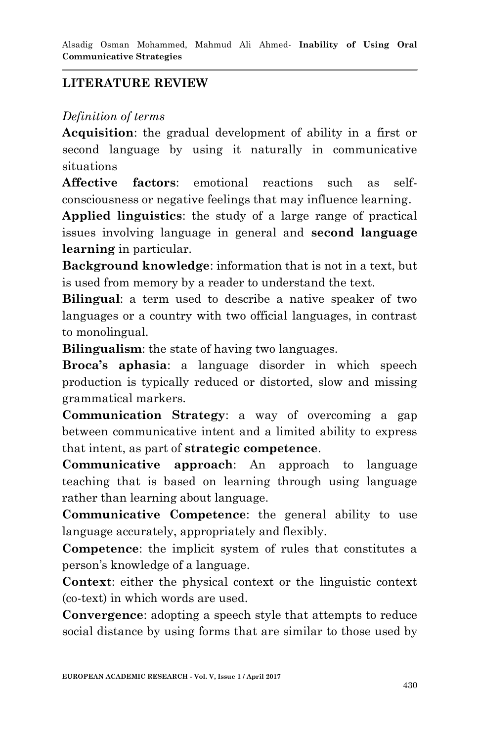## **LITERATURE REVIEW**

#### *Definition of terms*

**Acquisition**: the gradual development of ability in a first or second language by using it naturally in communicative situations

**Affective factors**: emotional reactions such as selfconsciousness or negative feelings that may influence learning.

**Applied linguistics**: the study of a large range of practical issues involving language in general and **second language learning** in particular.

**Background knowledge**: information that is not in a text, but is used from memory by a reader to understand the text.

**Bilingual**: a term used to describe a native speaker of two languages or a country with two official languages, in contrast to monolingual.

**Bilingualism**: the state of having two languages.

**Broca's aphasia**: a language disorder in which speech production is typically reduced or distorted, slow and missing grammatical markers.

**Communication Strategy**: a way of overcoming a gap between communicative intent and a limited ability to express that intent, as part of **strategic competence**.

**Communicative approach**: An approach to language teaching that is based on learning through using language rather than learning about language.

**Communicative Competence**: the general ability to use language accurately, appropriately and flexibly.

**Competence**: the implicit system of rules that constitutes a person"s knowledge of a language.

**Context**: either the physical context or the linguistic context (co-text) in which words are used.

**Convergence**: adopting a speech style that attempts to reduce social distance by using forms that are similar to those used by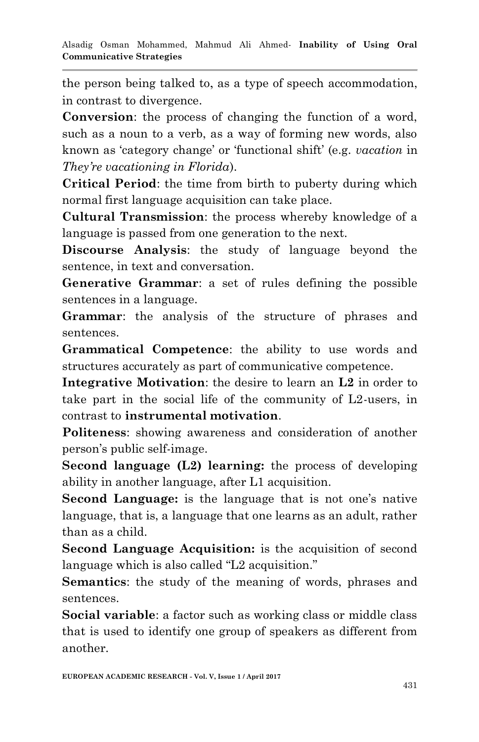the person being talked to, as a type of speech accommodation, in contrast to divergence.

**Conversion**: the process of changing the function of a word, such as a noun to a verb, as a way of forming new words, also known as "category change" or "functional shift" (e.g. *vacation* in *They're vacationing in Florida*).

**Critical Period**: the time from birth to puberty during which normal first language acquisition can take place.

**Cultural Transmission**: the process whereby knowledge of a language is passed from one generation to the next.

**Discourse Analysis**: the study of language beyond the sentence, in text and conversation.

**Generative Grammar**: a set of rules defining the possible sentences in a language.

**Grammar**: the analysis of the structure of phrases and sentences.

**Grammatical Competence**: the ability to use words and structures accurately as part of communicative competence.

**Integrative Motivation**: the desire to learn an **L2** in order to take part in the social life of the community of L2-users, in contrast to **instrumental motivation**.

**Politeness**: showing awareness and consideration of another person"s public self-image.

**Second language (L2) learning:** the process of developing ability in another language, after L1 acquisition.

**Second Language:** is the language that is not one's native language, that is, a language that one learns as an adult, rather than as a child.

**Second Language Acquisition:** is the acquisition of second language which is also called "L2 acquisition."

**Semantics**: the study of the meaning of words, phrases and sentences.

**Social variable**: a factor such as working class or middle class that is used to identify one group of speakers as different from another.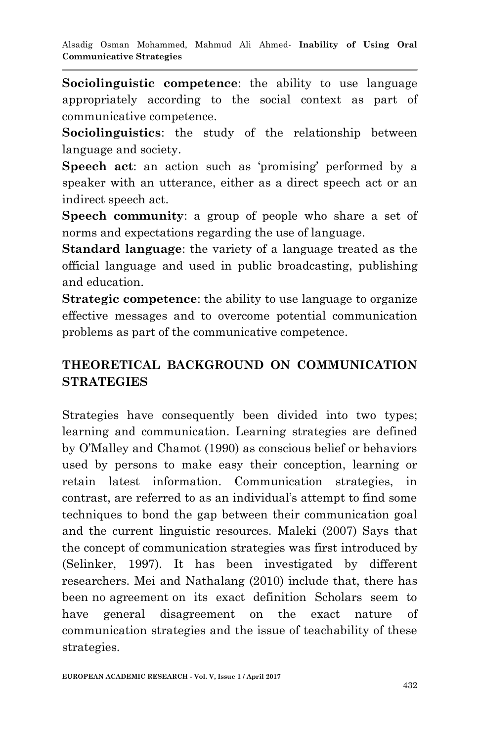**Sociolinguistic competence**: the ability to use language appropriately according to the social context as part of communicative competence.

**Sociolinguistics**: the study of the relationship between language and society.

**Speech act:** an action such as 'promising' performed by a speaker with an utterance, either as a direct speech act or an indirect speech act.

**Speech community**: a group of people who share a set of norms and expectations regarding the use of language.

**Standard language**: the variety of a language treated as the official language and used in public broadcasting, publishing and education.

**Strategic competence**: the ability to use language to organize effective messages and to overcome potential communication problems as part of the communicative competence.

## **THEORETICAL BACKGROUND ON COMMUNICATION STRATEGIES**

Strategies have consequently been divided into two types; learning and communication. Learning strategies are defined by O"Malley and Chamot (1990) as conscious belief or behaviors used by persons to make easy their conception, learning or retain latest information. Communication strategies, in contrast, are referred to as an individual"s attempt to find some techniques to bond the gap between their communication goal and the current linguistic resources. Maleki (2007) Says that the concept of communication strategies was first introduced by (Selinker, 1997). It has been investigated by different researchers. Mei and Nathalang (2010) include that, there has been no agreement on its exact definition Scholars seem to have general disagreement on the exact nature of communication strategies and the issue of teachability of these strategies.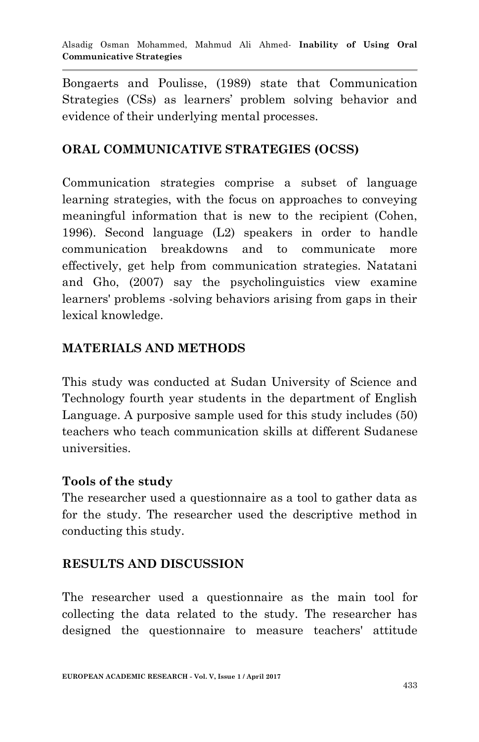Bongaerts and Poulisse, (1989) state that Communication Strategies (CSs) as learners" problem solving behavior and evidence of their underlying mental processes.

#### **ORAL COMMUNICATIVE STRATEGIES (OCSS)**

Communication strategies comprise a subset of language learning strategies, with the focus on approaches to conveying meaningful information that is new to the recipient (Cohen, 1996). Second language (L2) speakers in order to handle communication breakdowns and to communicate more effectively, get help from communication strategies. Natatani and Gho, (2007) say the psycholinguistics view examine learners' problems -solving behaviors arising from gaps in their lexical knowledge.

## **MATERIALS AND METHODS**

This study was conducted at Sudan University of Science and Technology fourth year students in the department of English Language. A purposive sample used for this study includes (50) teachers who teach communication skills at different Sudanese universities.

#### **Tools of the study**

The researcher used a questionnaire as a tool to gather data as for the study. The researcher used the descriptive method in conducting this study.

### **RESULTS AND DISCUSSION**

The researcher used a questionnaire as the main tool for collecting the data related to the study. The researcher has designed the questionnaire to measure teachers' attitude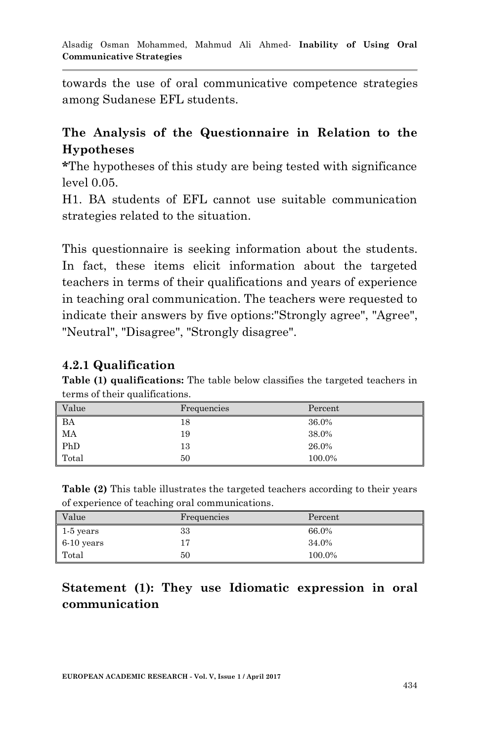towards the use of oral communicative competence strategies among Sudanese EFL students.

### **The Analysis of the Questionnaire in Relation to the Hypotheses**

**\***The hypotheses of this study are being tested with significance level 0.05.

H1. BA students of EFL cannot use suitable communication strategies related to the situation.

This questionnaire is seeking information about the students. In fact, these items elicit information about the targeted teachers in terms of their qualifications and years of experience in teaching oral communication. The teachers were requested to indicate their answers by five options:"Strongly agree", "Agree", "Neutral", "Disagree", "Strongly disagree".

#### **4.2.1 Qualification**

**Table (1) qualifications:** The table below classifies the targeted teachers in terms of their qualifications.

| Value | Frequencies | Percent |
|-------|-------------|---------|
| BA    | 18          | 36.0%   |
| MA    | 19          | 38.0%   |
| PhD   | 13          | 26.0%   |
| Total | 50          | 100.0%  |

**Table (2)** This table illustrates the targeted teachers according to their years of experience of teaching oral communications.

| Value        | Frequencies | Percent |
|--------------|-------------|---------|
| $1-5$ years  | 33          | 66.0%   |
| $6-10$ years | 17          | 34.0%   |
| Total        | 50          | 100.0%  |

### **Statement (1): They use Idiomatic expression in oral communication**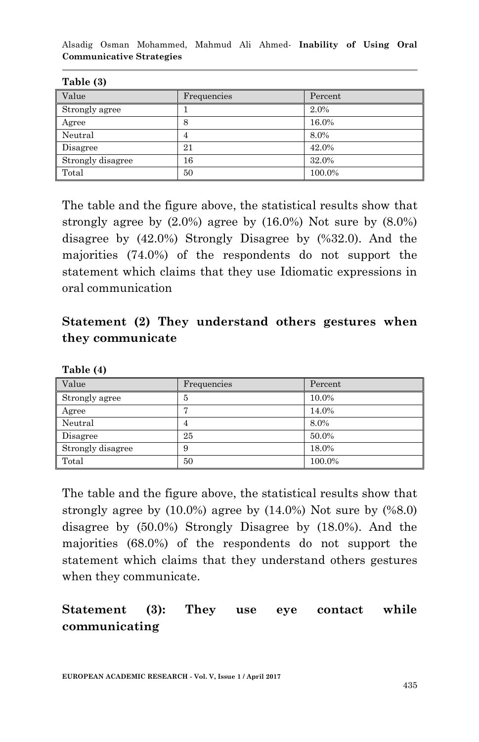Alsadig Osman Mohammed, Mahmud Ali Ahmed*-* **Inability of Using Oral Communicative Strategies**

| 10010101          |             |         |
|-------------------|-------------|---------|
| Value             | Frequencies | Percent |
| Strongly agree    |             | 2.0%    |
| Agree             | 8           | 16.0%   |
| Neutral           | 4           | 8.0%    |
| Disagree          | 21          | 42.0%   |
| Strongly disagree | 16          | 32.0%   |
| Total             | 50          | 100.0%  |

**Table (3)**

The table and the figure above, the statistical results show that strongly agree by (2.0%) agree by (16.0%) Not sure by (8.0%) disagree by (42.0%) Strongly Disagree by (%32.0). And the majorities (74.0%) of the respondents do not support the statement which claims that they use Idiomatic expressions in oral communication

## **Statement (2) They understand others gestures when they communicate**

| ------ --         |             |         |
|-------------------|-------------|---------|
| Value             | Frequencies | Percent |
| Strongly agree    | 5           | 10.0%   |
| Agree             | -           | 14.0%   |
| Neutral           | 4           | 8.0%    |
| Disagree          | 25          | 50.0%   |
| Strongly disagree | 9           | 18.0%   |
| Total             | 50          | 100.0%  |

**Table (4)**

The table and the figure above, the statistical results show that strongly agree by  $(10.0\%)$  agree by  $(14.0\%)$  Not sure by  $(\%8.0)$ disagree by (50.0%) Strongly Disagree by (18.0%). And the majorities (68.0%) of the respondents do not support the statement which claims that they understand others gestures when they communicate.

## **Statement (3): They use eye contact while communicating**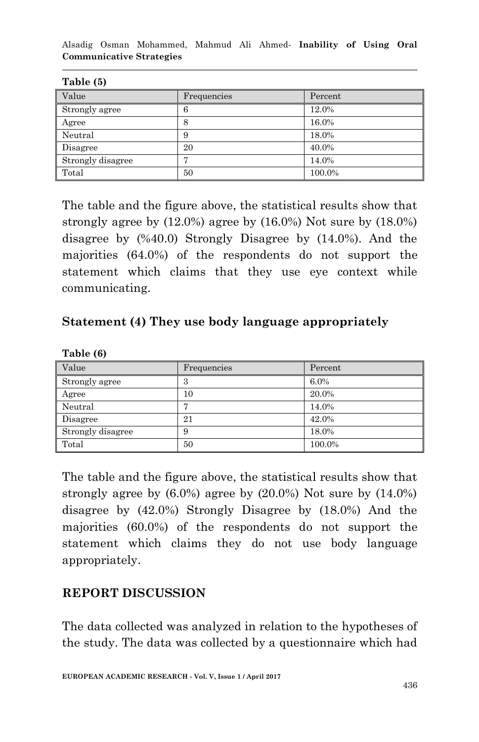Alsadig Osman Mohammed, Mahmud Ali Ahmed*-* **Inability of Using Oral Communicative Strategies**

| 10010101          |             |         |
|-------------------|-------------|---------|
| Value             | Frequencies | Percent |
| Strongly agree    | 6           | 12.0%   |
| Agree             | 8           | 16.0%   |
| Neutral           | 9           | 18.0%   |
| Disagree          | 20          | 40.0%   |
| Strongly disagree | г.          | 14.0%   |
| Total             | 50          | 100.0%  |

**Table (5)**

**Table (6)**

The table and the figure above, the statistical results show that strongly agree by (12.0%) agree by (16.0%) Not sure by (18.0%) disagree by (%40.0) Strongly Disagree by (14.0%). And the majorities (64.0%) of the respondents do not support the statement which claims that they use eye context while communicating.

#### **Statement (4) They use body language appropriately**

| 10010101          |             |         |
|-------------------|-------------|---------|
| Value             | Frequencies | Percent |
| Strongly agree    | 3           | 6.0%    |
| Agree             | 10          | 20.0%   |
| Neutral           |             | 14.0%   |
| Disagree          | 21          | 42.0%   |
| Strongly disagree | 9           | 18.0%   |
| Total             | 50          | 100.0%  |

The table and the figure above, the statistical results show that strongly agree by  $(6.0\%)$  agree by  $(20.0\%)$  Not sure by  $(14.0\%)$ disagree by (42.0%) Strongly Disagree by (18.0%) And the majorities (60.0%) of the respondents do not support the statement which claims they do not use body language appropriately.

### **REPORT DISCUSSION**

The data collected was analyzed in relation to the hypotheses of the study. The data was collected by a questionnaire which had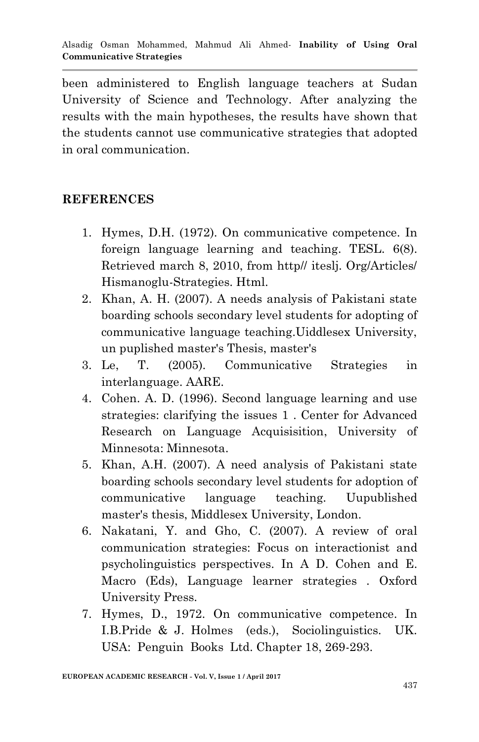been administered to English language teachers at Sudan University of Science and Technology. After analyzing the results with the main hypotheses, the results have shown that the students cannot use communicative strategies that adopted in oral communication.

#### **REFERENCES**

- 1. Hymes, D.H. (1972). On communicative competence. In foreign language learning and teaching. TESL. 6(8). Retrieved march 8, 2010, from http// iteslj. Org/Articles/ Hismanoglu-Strategies. Html.
- 2. Khan, A. H. (2007). A needs analysis of Pakistani state boarding schools secondary level students for adopting of communicative language teaching.Uiddlesex University, un puplished master's Thesis, master's
- 3. Le, T. (2005). Communicative Strategies in interlanguage. AARE.
- 4. Cohen. A. D. (1996). Second language learning and use strategies: clarifying the issues 1 . Center for Advanced Research on Language Acquisisition, University of Minnesota: Minnesota.
- 5. Khan, A.H. (2007). A need analysis of Pakistani state boarding schools secondary level students for adoption of communicative language teaching. Uupublished master's thesis, Middlesex University, London.
- 6. Nakatani, Y. and Gho, C. (2007). A review of oral communication strategies: Focus on interactionist and psycholinguistics perspectives. In A D. Cohen and E. Macro (Eds), Language learner strategies . Oxford University Press.
- 7. Hymes, D., 1972. On communicative competence. In I.B.Pride & J. Holmes (eds.), Sociolinguistics. UK. USA: Penguin Books Ltd. Chapter 18, 269-293.